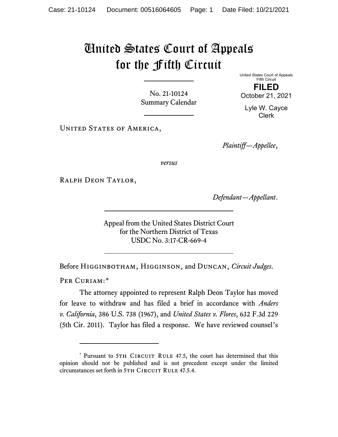## United States Court of Appeals for the Fifth Circuit

No. 21-10124 Summary Calendar United States Court of Appeals Fifth Circuit **FILED** October 21, 2021

Lyle W. Cayce Clerk

UNITED STATES OF AMERICA,

*Plaintiff—Appellee*,

*versus*

Ralph Deon Taylor,

*Defendant—Appellant*.

Appeal from the United States District Court for the Northern District of Texas USDC No. 3:17-CR-669-4

Before Higginbotham, Higginson, and Duncan, *Circuit Judges*.

PER CURIAM:[\\*](#page-0-0)

The attorney appointed to represent Ralph Deon Taylor has moved for leave to withdraw and has filed a brief in accordance with *Anders v. California*, 386 U.S. 738 (1967), and *United States v. Flores*, 632 F.3d 229 (5th Cir. 2011). Taylor has filed a response. We have reviewed counsel's

<span id="page-0-0"></span><sup>\*</sup> Pursuant to 5TH CIRCUIT RULE 47.5, the court has determined that this opinion should not be published and is not precedent except under the limited circumstances set forth in 5TH CIRCUIT RULE 47.5.4.